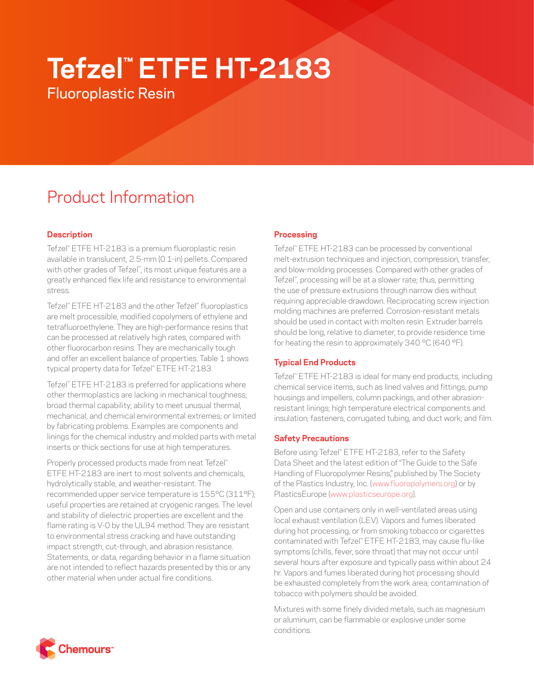# **Tefzel™ ETFE HT-2183**

Fluoroplastic Resin

# Product Information

# **Description**

Tefzel™ ETFE HT-2183 is a premium fluoroplastic resin available in translucent, 2.5-mm (0.1-in) pellets. Compared with other grades of Tefzel™ , its most unique features are a greatly enhanced flex life and resistance to environmental stress.

Tefzel™ ETFE HT-2183 and the other Tefzel™ fluoroplastics are melt processible, modified copolymers of ethylene and tetrafluoroethylene. They are high-performance resins that can be processed at relatively high rates, compared with other fluorocarbon resins. They are mechanically tough and offer an excellent balance of properties. Table 1 shows typical property data for Tefzel™ ETFE HT-2183.

Tefzel™ ETFE HT-2183 is preferred for applications where other thermoplastics are lacking in mechanical toughness; broad thermal capability; ability to meet unusual thermal, mechanical, and chemical environmental extremes; or limited by fabricating problems. Examples are components and linings for the chemical industry and molded parts with metal inserts or thick sections for use at high temperatures.

Properly processed products made from neat Tefzel™ ETFE HT-2183 are inert to most solvents and chemicals, hydrolytically stable, and weather-resistant. The recommended upper service temperature is 155°C (311°F); useful properties are retained at cryogenic ranges. The level and stability of dielectric properties are excellent and the flame rating is V-0 by the UL94 method. They are resistant to environmental stress cracking and have outstanding impact strength, cut-through, and abrasion resistance. Statements, or data, regarding behavior in a flame situation are not intended to reflect hazards presented by this or any other material when under actual fire conditions.

# **Processing**

Tefzel™ ETFE HT-2183 can be processed by conventional melt-extrusion techniques and injection, compression, transfer, and blow-molding processes. Compared with other grades of Tefzel™ , processing will be at a slower rate; thus, permitting the use of pressure extrusions through narrow dies without requiring appreciable drawdown. Reciprocating screw injection molding machines are preferred. Corrosion-resistant metals should be used in contact with molten resin. Extruder barrels should be long, relative to diameter, to provide residence time for heating the resin to approximately 340 °C (640 °F).

# **Typical End Products**

Tefzel™ ETFE HT-2183 is ideal for many end products, including chemical service items, such as lined valves and fittings, pump housings and impellers, column packings, and other abrasionresistant linings; high temperature electrical components and insulation; fasteners, corrugated tubing, and duct work; and film.

## **Safety Precautions**

Before using Tefzel™ ETFE HT-2183, refer to the Safety Data Sheet and the latest edition of "The Guide to the Safe Handling of Fluoropolymer Resins," published by The Society of the Plastics Industry, Inc. ([www.fluoropolymers.org](http://www.fluoropolymers.org)) or by PlasticsEurope ([www.plasticseurope.org\)](http://www.plasticseurope.org).

Open and use containers only in well-ventilated areas using local exhaust ventilation (LEV). Vapors and fumes liberated during hot processing, or from smoking tobacco or cigarettes contaminated with Tefzel™ ETFE HT-2183, may cause flu-like symptoms (chills, fever, sore throat) that may not occur until several hours after exposure and typically pass within about 24 hr. Vapors and fumes liberated during hot processing should be exhausted completely from the work area; contamination of tobacco with polymers should be avoided.

Mixtures with some finely divided metals, such as magnesium or aluminum, can be flammable or explosive under some conditions.